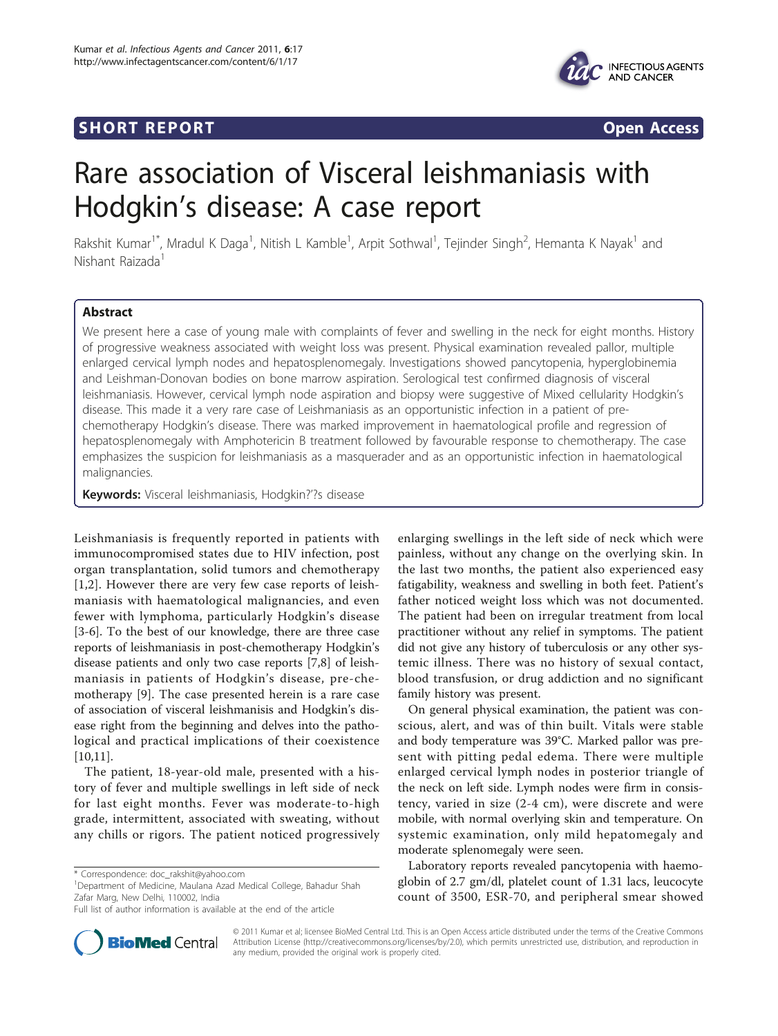# Short The Portugal Section 2014 and 2014 and 2014 and 2014 and 2014 and 2014 and 2014 and 2014 and 2014 and 20<br>Short The Portugal Section 2014 and 2014 and 2014 and 2014 and 2014 and 2014 and 2014 and 2014 and 2014 and 20



# Rare association of Visceral leishmaniasis with Hodgkin's disease: A case report

Rakshit Kumar<sup>1\*</sup>, Mradul K Daga<sup>1</sup>, Nitish L Kamble<sup>1</sup>, Arpit Sothwal<sup>1</sup>, Tejinder Singh<sup>2</sup>, Hemanta K Nayak<sup>1</sup> and Nishant Raizada<sup>1</sup>

we present here a case of young male with complaints of fever and swelling in the neck for eight months. History of progressive weakness associated with weight loss was present. Physical examination revealed pallor, multiple enlarged cervical lymph nodes and hepatosplenomegaly. Investigations showed pancytopenia, hyperglobinemia and Leishman-Donovan bodies on bone marrow aspiration. Serological test confirmed diagnosis of visceral leishmaniasis. However, cervical lymph node aspiration and biopsy were suggestive of Mixed cellularity Hodgkin's disease. This made it a very rare case of Leishmaniasis as an opportunistic infection in a patient of prechemotherapy Hodgkin's disease. There was marked improvement in haematological profile and regression of hepatosplenomegaly with Amphotericin B treatment followed by favourable response to chemotherapy. The case emphasizes the suspicion for leishmaniasis as a masquerader and as an opportunistic infection in haematological malignancies.

Keywords: Visceral leishmaniasis, Hodgkin?'?s disease

Leishmaniasis is frequently reported in patients with immunocompromised states due to HIV infection, post organ transplantation, solid tumors and chemotherapy [[1,2](#page-2-0)]. However there are very few case reports of leishmaniasis with haematological malignancies, and even fewer with lymphoma, particularly Hodgkin's disease [[3-6](#page-2-0)]. To the best of our knowledge, there are three case reports of leishmaniasis in post-chemotherapy Hodgkin's disease patients and only two case reports [\[7,8](#page-2-0)] of leishmaniasis in patients of Hodgkin's disease, pre-chemotherapy [[9\]](#page-2-0). The case presented herein is a rare case of association of visceral leishmanisis and Hodgkin's disease right from the beginning and delves into the pathological and practical implications of their coexistence [[10,11\]](#page-2-0).

The patient, 18-year-old male, presented with a history of fever and multiple swellings in left side of neck for last eight months. Fever was moderate-to-high grade, intermittent, associated with sweating, without any chills or rigors. The patient noticed progressively

<sup>1</sup>Department of Medicine, Maulana Azad Medical College, Bahadur Shah Zafar Marg, New Delhi, 110002, India

enlarging swellings in the left side of neck which were painless, without any change on the overlying skin. In the last two months, the patient also experienced easy fatigability, weakness and swelling in both feet. Patient's father noticed weight loss which was not documented. The patient had been on irregular treatment from local practitioner without any relief in symptoms. The patient did not give any history of tuberculosis or any other systemic illness. There was no history of sexual contact, blood transfusion, or drug addiction and no significant family history was present.

On general physical examination, the patient was conscious, alert, and was of thin built. Vitals were stable and body temperature was 39°C. Marked pallor was present with pitting pedal edema. There were multiple enlarged cervical lymph nodes in posterior triangle of the neck on left side. Lymph nodes were firm in consistency, varied in size (2-4 cm), were discrete and were mobile, with normal overlying skin and temperature. On systemic examination, only mild hepatomegaly and moderate splenomegaly were seen.

Laboratory reports revealed pancytopenia with haemoglobin of 2.7 gm/dl, platelet count of 1.31 lacs, leucocyte count of 3500, ESR-70, and peripheral smear showed



© 2011 Kumar et al; licensee BioMed Central Ltd. This is an Open Access article distributed under the terms of the Creative Commons Attribution License [\(http://creativecommons.org/licenses/by/2.0](http://creativecommons.org/licenses/by/2.0)), which permits unrestricted use, distribution, and reproduction in any medium, provided the original work is properly cited.

<sup>\*</sup> Correspondence: [doc\\_rakshit@yahoo.com](mailto:doc_rakshit@yahoo.com)

Full list of author information is available at the end of the article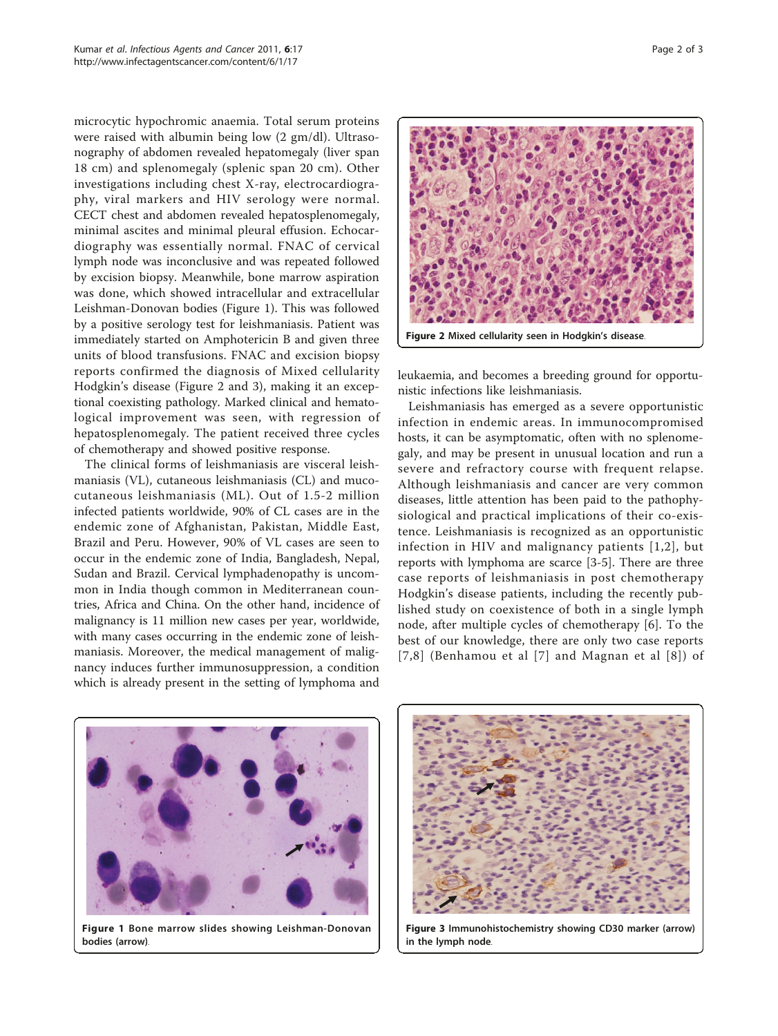microcytic hypochromic anaemia. Total serum proteins were raised with albumin being low (2 gm/dl). Ultrasonography of abdomen revealed hepatomegaly (liver span 18 cm) and splenomegaly (splenic span 20 cm). Other investigations including chest X-ray, electrocardiography, viral markers and HIV serology were normal. CECT chest and abdomen revealed hepatosplenomegaly, minimal ascites and minimal pleural effusion. Echocardiography was essentially normal. FNAC of cervical lymph node was inconclusive and was repeated followed by excision biopsy. Meanwhile, bone marrow aspiration was done, which showed intracellular and extracellular Leishman-Donovan bodies (Figure 1). This was followed by a positive serology test for leishmaniasis. Patient was immediately started on Amphotericin B and given three units of blood transfusions. FNAC and excision biopsy reports confirmed the diagnosis of Mixed cellularity Hodgkin's disease (Figure 2 and 3), making it an exceptional coexisting pathology. Marked clinical and hematological improvement was seen, with regression of hepatosplenomegaly. The patient received three cycles of chemotherapy and showed positive response.

The clinical forms of leishmaniasis are visceral leishmaniasis (VL), cutaneous leishmaniasis (CL) and mucocutaneous leishmaniasis (ML). Out of 1.5-2 million infected patients worldwide, 90% of CL cases are in the endemic zone of Afghanistan, Pakistan, Middle East, Brazil and Peru. However, 90% of VL cases are seen to occur in the endemic zone of India, Bangladesh, Nepal, Sudan and Brazil. Cervical lymphadenopathy is uncommon in India though common in Mediterranean countries, Africa and China. On the other hand, incidence of malignancy is 11 million new cases per year, worldwide, with many cases occurring in the endemic zone of leishmaniasis. Moreover, the medical management of malignancy induces further immunosuppression, a condition which is already present in the setting of lymphoma and



leukaemia, and becomes a breeding ground for opportunistic infections like leishmaniasis.

Leishmaniasis has emerged as a severe opportunistic infection in endemic areas. In immunocompromised hosts, it can be asymptomatic, often with no splenomegaly, and may be present in unusual location and run a severe and refractory course with frequent relapse. Although leishmaniasis and cancer are very common diseases, little attention has been paid to the pathophysiological and practical implications of their co-existence. Leishmaniasis is recognized as an opportunistic infection in HIV and malignancy patients [[1](#page-2-0),[2](#page-2-0)], but reports with lymphoma are scarce [\[3](#page-2-0)-[5\]](#page-2-0). There are three case reports of leishmaniasis in post chemotherapy Hodgkin's disease patients, including the recently published study on coexistence of both in a single lymph node, after multiple cycles of chemotherapy [\[6](#page-2-0)]. To the best of our knowledge, there are only two case reports [[7,8\]](#page-2-0) (Benhamou et al [[7\]](#page-2-0) and Magnan et al [[8](#page-2-0)]) of



Figure 1 Bone marrow slides showing Leishman-Donovan bodies (arrow).



Figure 3 Immunohistochemistry showing CD30 marker (arrow) in the lymph node.